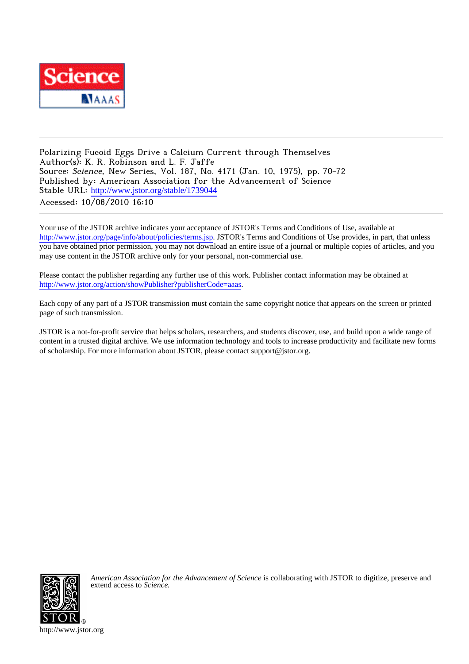

Polarizing Fucoid Eggs Drive a Calcium Current through Themselves Author(s): K. R. Robinson and L. F. Jaffe Source: Science, New Series, Vol. 187, No. 4171 (Jan. 10, 1975), pp. 70-72 Published by: American Association for the Advancement of Science Stable URL: [http://www.jstor.org/stable/1739044](http://www.jstor.org/stable/1739044?origin=JSTOR-pdf) Accessed: 10/08/2010 16:10

Your use of the JSTOR archive indicates your acceptance of JSTOR's Terms and Conditions of Use, available at <http://www.jstor.org/page/info/about/policies/terms.jsp>. JSTOR's Terms and Conditions of Use provides, in part, that unless you have obtained prior permission, you may not download an entire issue of a journal or multiple copies of articles, and you may use content in the JSTOR archive only for your personal, non-commercial use.

Please contact the publisher regarding any further use of this work. Publisher contact information may be obtained at <http://www.jstor.org/action/showPublisher?publisherCode=aaas>.

Each copy of any part of a JSTOR transmission must contain the same copyright notice that appears on the screen or printed page of such transmission.

JSTOR is a not-for-profit service that helps scholars, researchers, and students discover, use, and build upon a wide range of content in a trusted digital archive. We use information technology and tools to increase productivity and facilitate new forms of scholarship. For more information about JSTOR, please contact support@jstor.org.



*American Association for the Advancement of Science* is collaborating with JSTOR to digitize, preserve and extend access to *Science.*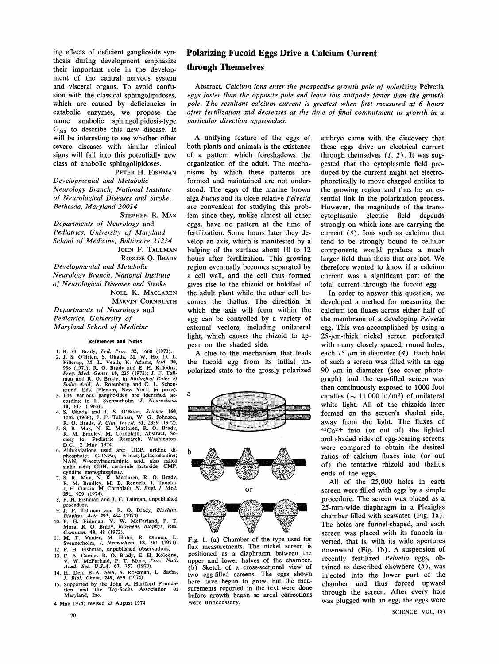**ing effects of deficient ganglioside synthesis during development emphasize their important role in the development of the central nervous system and visceral organs. To avoid confusion with the classical sphingolipidoses, which are caused by deficiencies in catabolic enzymes, we propose the name anabolic sphingolipidosis-type GM3 to describe this new disease. It will be interesting to see whether other severe diseases with similar clinical signs will fall into this potentially new class of anabolic sphingolipidoses.** 

### **PETER H. FISHMAN Developmental and Metabolic Neurology Branch, National Institute of Neurological Diseases and Stroke,**  Bethesda, Maryland 20014

**STEPHEN R. MAX Departments of Neurology and**  Pediatrics, University of Maryland **School of Medicine} Baltimore 21224 JOHN F. TALLMAN ROSCOE O. BRADY Developmental and Metabolic Neurology Branch, National Institute**  $of$  Neurological Diseases and Stroke **NOEL K. MACLAREN MARVIN CORNBLATH Departments of Neurology and Pediatrics, University of Maryland School of Medicine** 

#### **References and Notes**

- 1. R. O. Brady, Fed. Proc. 32, 1660 (1973).<br>2. J. S. O'Brien, S. Okada, M. W. Ho, D. L.<br>Fillerup, M. L. Veath, K. Adams, *ibid.* 30,<br>956 (1971); R. O. Brady and E. H. Kolodny,<br>Prog. Med. Genet. 18, 225 (1972); J. F. Tall-<br> **Sialic Acid, A. Rosenberg and C. L. Schen-grund, Eds. (Plenum, New York, in press). 3. The various gangliosides are identified ac-**
- 
- 
- cording to L. Svennerholm [J. Neurochem.<br>
10, 613 (1963)].<br>
4. S. Okada and J. S. O'Brien, Science 160,<br>
1002 (1968); J. F. Tallman, W. G. Johnson,<br>
R. O. Brady, J. Clin. Invest. 51, 2339 (1972).<br>
5. S. R. Max, N. K. Macla
- **phosphate; GalNAc, N-acetylgalactosamine; NAN, N-acetylneuraminic acid, also called sialic acid; CDH, ceramide lactoslde; CMP, cytidine monophosphate.**
- **7. S. R. Max, N. K. Maclaren, R. O. Brady, R. M. Bradley, M. B. Rennels, J. Tanaka, J. H. Garcia, M. Cornblath, N. Engl. J. Med. 291, 929 (1974).**
- **8. P. H. Fishman and J. F. Tallman, unpublished**  procedure.<br>9. J. F. Tal **9. J. F. Tallman and R. O. Brady, Biockim.**
- 
- Biophys. Acta 293, 434 (1973).<br>
10. P. H. Fishman, V. W. McFarland, P. T.<br>
Mora, R. O. Brady, Biochem. Biophys. Res.<br>
Commun. 48, 48 (1972).<br>
11. M. T. Vanier, M. Holm, R. Ohman, L.<br>
Svennerholm, J. Neurochem. 18, 581 (197
- **12. P. H. Fishman, unpublished observations.**
- **13. F. A. Cumar, R. O. Brady, E. H. Kolodny,** V. W. McFarland, P. T. Mora, *Proc. Natl. Acad. Sci. U.S.A.* **67**, 757 (1970).
- **14. H. Den, B.-A Sela, S. Roseman, L. Sachs, J. Biol. Chem 249, 659 (1974).**
- **15. Supported by the John A. Hartford Founda-tion and the Tay-Sachs Association of Maryland, Inc.**
- **4 May 1974; revised 23 August 1974**

## **Polarizing Fucoid Eggs Drive a Calcium Current**

## **through Themselves**

**Abstract. Calcium ions enter the prospective growth pole of polarizing Pelvetia eggs faster than the opposite pole and leave this antipode faster than the growth**  pole. The resultant calcium current is greatest when first measured at 6 hours after fertilization and decreases as the time of final commitment to growth in a **particular direction approaches.** 

**A unifying feature of the eggs of both plants and animals is the existence of a pattern which foreshadows the organization of the adult. The mechanisms by which these patterns are formed and maintained are not understood. The eggs of the marine brown alga Fucus and its close relative Pelvetis are convenient for studying this problem since they, unlike almost all other eggs, have no pattern at the time of fertilization. Some hours later they develop an axis, which is manifested by a bulging of the surface about 10 to 12 hours after fertilization. This growing region eventually becomes separated by a cell wall, and the cell thus formed gives rise to the rhizoid or holdfast of the adult plant while the other cell becomes the thallus. The direction in**  which the axis will form within the **egg can be controlled by a variety of external vectors, including unilateral light, which causes the rhizoid to appear on the shaded side.** 

**A clue to the mechanism that leads the fucoid egg from its initial unpolarized state to the grossly polarized** 



**Fig. 1. (a) Chamber of the type used for flux measurements. The nickel screen is positioned as a diaphragm between the upper and lower halves of the chamber. (b) Sketch of a cross-sectional view of two egg-filled screens. The eggs shown here have begun to grow, but the measurements reported in the text were done before growth began so areal corrections were unnecessary.** 

**embryo came with the discovery that these eggs drive an electrical current**  through themselves  $(1, 2)$ . It was sug**gested that the cytoplasmic field produced by the current might act electrophoretically to move charged entities to the growing region and thus be an essential link in the polarization process. However, the magnitude of the trans**cytoplasmic electric field strongly on which ions are carrying the **current (3). Ions such as calcium that tend to be strongly bound to cellular components would produce a much larger field than those that are not. We therefore wanted to know if a calcium current was a significant part of the total current through the fucoid egg.** 

**In order to answer this question, we developed a method for measuring the calcium ion fluxes across either half of the membrane of a developing Pelvetia egg. This was accomplished by using a 25-ym-thick nickel screen perforated with many closely spaced, round holes, each 75 ym in diameter (4). Each hole of such a screen was filled with an egg 90 ym in diameter (see cover photograph) and the egg-filled screen was then continuously exposed to 1000 foot**  candles ( $\sim$  11,000 lu/m<sup>2</sup>) of unilateral **white light. All of the rhizoids later formed on the screen's shaded side, away from the light. The fluxes of 45Ca2 +into (or out of ) the lighted and shaded sides of egg-bearing screens were compared to obtain the desired ratios of calcium fluxes into (or out of) the tentative rhlzoid and thallus ends of the eggs.** 

**All of the 25,000 holes in each screen were {illed with eggs by a simple**  procedure. The screen was placed as a **25-mm-wide diaphragm in a Plexiglas chamber filled with seawater (Fig. la). The holes are funnel-shaped, and each screen was placed with its funnels in**verted, that is, with its wide apertures **downward (Fig. lb). A suspension of recently fertilized Pelvetia eggs, obtained as described elsewhere (5), was injected into the lower part of the chamber and thus forced upward through the screen After every hole was plugged with an egg, the eggs were**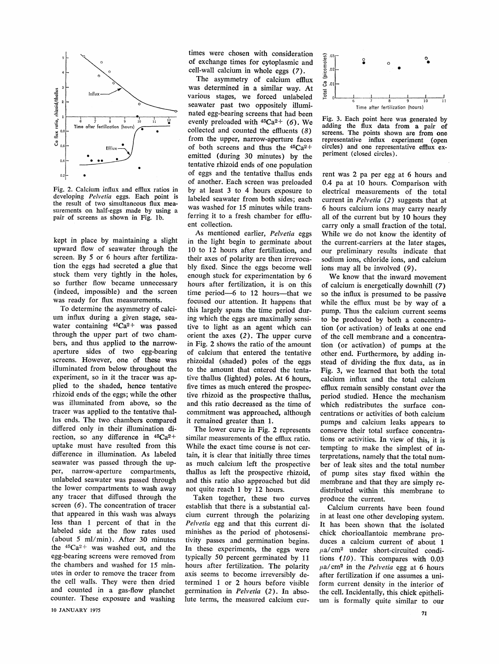

**Fig. 2. Calcium influx and efflux ratios in**  developing *Pelvetia* eggs. Each point is **the result of two simultaneous flux measurements on half-eggs made by using a pair of screens as shown in Fig. lb.** 

**kept in place by maintaining a slight**  upward flow of seawater through the **screen. By S or 6 hours after fertilization the eggs had secreted a glue that stuck them very tightly in the holes, so further flow became unnecessary**  (indeed, impossible) and the screen **was ready for flux measurements.** 

**To determine the asymmetry of calci**um influx during a given stage, sea**water containing 45Ca2 +was passed through the upper part of two chambers, and thus applied to the narrow**aperture sides of two egg-bearing **screens. However, one of these was illuminated from below throughout the experiment, so in it the tracer was ap**plied to the shaded, hence tentative rhizoid ends of the eggs; while the other was illuminated from above, so the **tracer was applied to the tentative thallus ends. The two chambers compared**  differed only in their illumination direction, so any difference in  $45Ca^{2+}$ uptake must have resulted from this **difference in illumination. As labeled**  seawater was passed through the upper, narrow-aperture compartments, **unlabeled seawater was passed through the lower compartments to wash away**  any tracer that diffused through the **screen (6). The concentration of tracer**  that appeared in this wash was always **less than 1 percent of that in the labeled side at the flow rates used (about S ml/min). After 30 minutes the 45Ca2 +was washed out, and the egg-bearing screens were removed from the chambers and washed for 15 minutes in order to remove the tracer from the cell walls. They were then dried**  and counted in a gas-flow planchet **counter. These exposure and washing** 

**times were chosen with consideration of exchange times for cytoplasmic and celI-wall calcium in whole eggs (7).** 

The asymmetry of calcium efflux **was determined in a simiIar way. At various stages, we forced unlabeled seawater past two oppositely iIIuminated egg-bearing screens that had been**  evenly preloaded with  $45Ca<sup>2+</sup>$  (6). We collected and counted the effluents (8) **from the upper, narrow-aperture faces**  of both screens and thus the  $45Ca^{2+}$ **emitted (during 30 minutes) by the tentative rhizoid ends of one population of eggs and the tentative thallus ends of another. Each screen was preloaded by at least 3 to 4 hours exposure to labeled seawater from both sides; each was washed for 15 minutes while trans**ferring it to a fresh chamber for efflu**ent collection.** 

**As mentioned earlier, Pelvetia eggs in the light begin to germinate about 10 to 12 hours after fertilization, and their axes of polarity are then irrevocably {ixed. Since the eggs become well enough stuck for experimentation by <sup>6</sup> hours after fertilization, it is on this time period-6 to 12 hours-that we**  focused our attention. It happens that **this largely spans the time period during which the eggs are maximally sensitive to light as an agent which can orient the axes (2). The upper curve in Fig. 2 shows the ratio of the amount of calcium that entered the tentative rhizoidal (shaded) poles of the eggs to the amount that entered the tentative thallus (lighted) poles. At 6 hours, five times as much entered the prospec**  tive rhizoid as the prospective thallus, and this ratio decreased as the time of commitment was approached, although **it remained greater than 1.** 

**The lower curve in Pig. 2 represents similar measurements of the efflux ratio. While the exact time course is not certain, it is clear that initially three times as much calcium left the prospective thallus as left the prospective rhizoid, and this ratio also approached but did not quite reach 1 by 12 hours.** 

**Taken together, these two curves establish that there is a substantial calcium current through the polarizing Pelvetia egg and that this current diminishes as the period of photosensitivity passes and germination begins.**  In these experiments, the eggs were **typically 50 percent germinated by 11 hours after fertilization. The polarity axis seems to become irreversibly determined 1 or 2 hours before visible germination in Pelveria (2). In absolute terms, the measured calcium cur-**



Fig. 3. Each point here was generated by adding the flux data from a pair of screens. The points shown are from one representative influx experiment (open circles) and one representative efflux ex**periment (closed circles),** 

**rent was 2 pa per egg at 6 hours and 0.4 pa at 10 hours. Comparison with**  electrical measurements of the total **current in Pelvetis (2) suggests that at 6 hours calcium ions may carry nearly all of the current but by 10 hours they carry only a smalI fraction of the totaI.**  While we do not know the identity of the current-carriers at the later stages, **our preliminary resuIts indicate that**   $s$  odium ions, chloride ions, and calcium ions may all be involved (9).

**We know that the inward movement of calcium is energeticaIIy downhiII (7)**  so the influx is presumed to be passive **while the efflux must be by way of a pump. Thus the caIcium current seems**  to be produced by both a concentra**tion (or activation) of leaks at one end of the ceII membrane and a concentra**tion (or activation) of pumps at the **other end. Furthermore, by adding instead of dividing the flux data, as in**  Fig. 3, we learned that both the total **calcium inRux eand the tatal calcium efflux remain sensibly constant over the period studied. Hence the mechanism which redistributes the surface con**centrations or activities of both calcium **pumps and caIcium Ieaks appears to conserve their totaI surface concentrations or activities. In view of this, it is tempting to make the simplest of in**terpretations, namely that the total num**ber of Ieak sites and the totaI number of pump sites stay fixed within the membrane and that they are simply redistributed within this membrane to produce the current.** 

**CaIcium currents have been found in at Ieast one other developing system. It has been shown that the isolated chick chorioaIlantoic membrane produces a caIcium current of about 1**   $\mu$ a/cm<sup>2</sup> under short-circuited condi**tions ( 10) . This compares with 0.03 ua/crn2 in the Pelvetia egg at 6 hours after fertiIization if one assumes a uniform current density in the interior of**  the cell. Incidentally, this chick epitheli**um is formally quite simiIar to our**